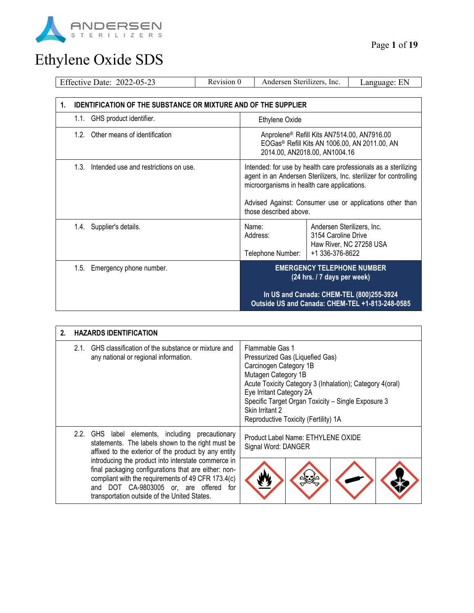

| Revision 0<br>Effective Date: 2022-05-23                                                                                                                                                                                                                                                                                   |  | Andersen Sterilizers, Inc.                                                                                                                |                                                                      | Language: EN            |
|----------------------------------------------------------------------------------------------------------------------------------------------------------------------------------------------------------------------------------------------------------------------------------------------------------------------------|--|-------------------------------------------------------------------------------------------------------------------------------------------|----------------------------------------------------------------------|-------------------------|
|                                                                                                                                                                                                                                                                                                                            |  |                                                                                                                                           |                                                                      |                         |
| <b>IDENTIFICATION OF THE SUBSTANCE OR MIXTURE AND OF THE SUPPLIER</b><br>1.                                                                                                                                                                                                                                                |  |                                                                                                                                           |                                                                      |                         |
| 1.1. GHS product identifier.                                                                                                                                                                                                                                                                                               |  | Ethylene Oxide                                                                                                                            |                                                                      |                         |
| 1.2 <sub>1</sub><br>Other means of identification                                                                                                                                                                                                                                                                          |  | Anprolene® Refill Kits AN7514.00, AN7916.00<br>EOGas <sup>®</sup> Refill Kits AN 1006.00, AN 2011.00, AN<br>2014.00, AN2018.00, AN1004.16 |                                                                      |                         |
| 1.3.<br>Intended use and restrictions on use.<br>Intended: for use by health care professionals as a sterilizing<br>agent in an Andersen Sterilizers, Inc. sterilizer for controlling<br>microorganisms in health care applications.<br>Advised Against: Consumer use or applications other than<br>those described above. |  |                                                                                                                                           |                                                                      |                         |
| Supplier's details.<br>1.4.                                                                                                                                                                                                                                                                                                |  | Name:<br>Address:<br>Telephone Number:                                                                                                    | Andersen Sterilizers, Inc.<br>3154 Caroline Drive<br>+1 336-376-8622 | Haw River, NC 27258 USA |
| 1.5. Emergency phone number.                                                                                                                                                                                                                                                                                               |  | <b>EMERGENCY TELEPHONE NUMBER</b><br>(24 hrs. / 7 days per week)<br>In US and Canada: CHEM-TEL (800)255-3924                              |                                                                      |                         |
|                                                                                                                                                                                                                                                                                                                            |  | Outside US and Canada: CHEM-TEL +1-813-248-0585                                                                                           |                                                                      |                         |

| 2. |                                                                                                                                                               | <b>HAZARDS IDENTIFICATION</b>                                                                                                                                                                                                                                  |                                                                                                                                                                                                                                                                                                              |  |  |  |
|----|---------------------------------------------------------------------------------------------------------------------------------------------------------------|----------------------------------------------------------------------------------------------------------------------------------------------------------------------------------------------------------------------------------------------------------------|--------------------------------------------------------------------------------------------------------------------------------------------------------------------------------------------------------------------------------------------------------------------------------------------------------------|--|--|--|
|    |                                                                                                                                                               | 2.1. GHS classification of the substance or mixture and<br>any national or regional information.                                                                                                                                                               | Flammable Gas 1<br>Pressurized Gas (Liquefied Gas)<br>Carcinogen Category 1B<br>Mutagen Category 1B<br>Acute Toxicity Category 3 (Inhalation); Category 4(oral)<br>Eye Irritant Category 2A<br>Specific Target Organ Toxicity - Single Exposure 3<br>Skin Irritant 2<br>Reproductive Toxicity (Fertility) 1A |  |  |  |
|    | 2.2. GHS label elements, including precautionary<br>statements. The labels shown to the right must be<br>affixed to the exterior of the product by any entity |                                                                                                                                                                                                                                                                | Product Label Name: ETHYLENE OXIDE<br>Signal Word: DANGER                                                                                                                                                                                                                                                    |  |  |  |
|    |                                                                                                                                                               | introducing the product into interstate commerce in<br>final packaging configurations that are either: non-<br>compliant with the requirements of 49 CFR 173.4(c)<br>and DOT CA-9803005 or, are offered<br>for<br>transportation outside of the United States. |                                                                                                                                                                                                                                                                                                              |  |  |  |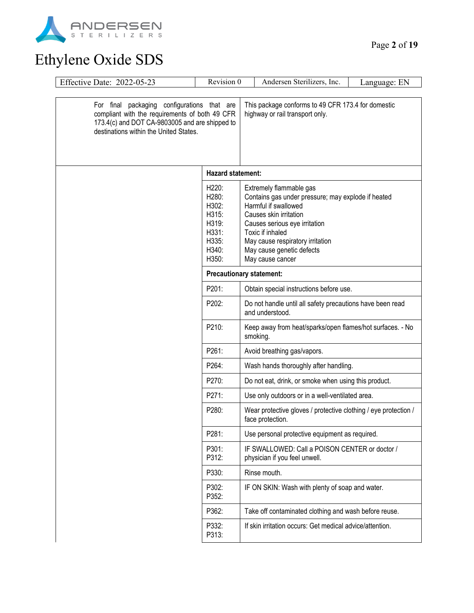

| Effective Date: 2022-05-23                                                                                                                                                                | Revision 0                                                                                 | Andersen Sterilizers, Inc.                                                                                                                                                                                                                                                | Language: EN |
|-------------------------------------------------------------------------------------------------------------------------------------------------------------------------------------------|--------------------------------------------------------------------------------------------|---------------------------------------------------------------------------------------------------------------------------------------------------------------------------------------------------------------------------------------------------------------------------|--------------|
| For final packaging configurations that are<br>compliant with the requirements of both 49 CFR<br>173.4(c) and DOT CA-9803005 and are shipped to<br>destinations within the United States. |                                                                                            | This package conforms to 49 CFR 173.4 for domestic<br>highway or rail transport only.                                                                                                                                                                                     |              |
|                                                                                                                                                                                           | Hazard statement:                                                                          |                                                                                                                                                                                                                                                                           |              |
|                                                                                                                                                                                           | H <sub>220</sub> :<br>H280:<br>H302:<br>H315:<br>H319:<br>H331:<br>H335:<br>H340:<br>H350: | Extremely flammable gas<br>Contains gas under pressure; may explode if heated<br>Harmful if swallowed<br>Causes skin irritation<br>Causes serious eye irritation<br>Toxic if inhaled<br>May cause respiratory irritation<br>May cause genetic defects<br>May cause cancer |              |
|                                                                                                                                                                                           | <b>Precautionary statement:</b>                                                            |                                                                                                                                                                                                                                                                           |              |
|                                                                                                                                                                                           | P201:                                                                                      | Obtain special instructions before use.                                                                                                                                                                                                                                   |              |
|                                                                                                                                                                                           | P202:                                                                                      | Do not handle until all safety precautions have been read<br>and understood.                                                                                                                                                                                              |              |
|                                                                                                                                                                                           | P210:                                                                                      | Keep away from heat/sparks/open flames/hot surfaces. - No<br>smoking.                                                                                                                                                                                                     |              |
|                                                                                                                                                                                           | P261:                                                                                      | Avoid breathing gas/vapors.                                                                                                                                                                                                                                               |              |
|                                                                                                                                                                                           | P264:                                                                                      | Wash hands thoroughly after handling.                                                                                                                                                                                                                                     |              |
|                                                                                                                                                                                           | P270:                                                                                      | Do not eat, drink, or smoke when using this product.                                                                                                                                                                                                                      |              |
|                                                                                                                                                                                           | P271:                                                                                      | Use only outdoors or in a well-ventilated area.                                                                                                                                                                                                                           |              |
|                                                                                                                                                                                           | P280:                                                                                      | Wear protective gloves / protective clothing / eye protection /<br>face protection.                                                                                                                                                                                       |              |
|                                                                                                                                                                                           | P281:                                                                                      | Use personal protective equipment as required.                                                                                                                                                                                                                            |              |
|                                                                                                                                                                                           | P301:<br>P312:                                                                             | IF SWALLOWED: Call a POISON CENTER or doctor /<br>physician if you feel unwell.                                                                                                                                                                                           |              |
|                                                                                                                                                                                           | P330:                                                                                      | Rinse mouth.                                                                                                                                                                                                                                                              |              |
|                                                                                                                                                                                           | P302:<br>P352:                                                                             | IF ON SKIN: Wash with plenty of soap and water.                                                                                                                                                                                                                           |              |
|                                                                                                                                                                                           | P362:                                                                                      | Take off contaminated clothing and wash before reuse.                                                                                                                                                                                                                     |              |
|                                                                                                                                                                                           | P332:<br>P313:                                                                             | If skin irritation occurs: Get medical advice/attention.                                                                                                                                                                                                                  |              |
|                                                                                                                                                                                           |                                                                                            |                                                                                                                                                                                                                                                                           |              |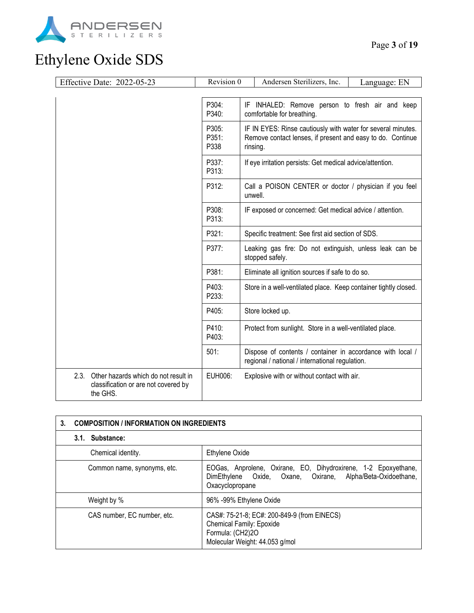

|      | Effective Date: 2022-05-23                                                               | Revision 0<br>Andersen Sterilizers, Inc.<br>Language: EN |                                                                                                                                        |
|------|------------------------------------------------------------------------------------------|----------------------------------------------------------|----------------------------------------------------------------------------------------------------------------------------------------|
|      |                                                                                          |                                                          |                                                                                                                                        |
|      |                                                                                          | P304:<br>P340:                                           | IF INHALED: Remove person to fresh air and keep<br>comfortable for breathing.                                                          |
|      |                                                                                          | P305:<br>P351:<br>P338                                   | IF IN EYES: Rinse cautiously with water for several minutes.<br>Remove contact lenses, if present and easy to do. Continue<br>rinsing. |
|      |                                                                                          | P337:<br>P313:                                           | If eye irritation persists: Get medical advice/attention.                                                                              |
|      |                                                                                          | P312:                                                    | Call a POISON CENTER or doctor / physician if you feel<br>unwell.                                                                      |
|      |                                                                                          | P308:<br>P313:                                           | IF exposed or concerned: Get medical advice / attention.                                                                               |
|      |                                                                                          | P321:                                                    | Specific treatment: See first aid section of SDS.                                                                                      |
|      |                                                                                          | P377:                                                    | Leaking gas fire: Do not extinguish, unless leak can be<br>stopped safely.                                                             |
|      |                                                                                          | P381:                                                    | Eliminate all ignition sources if safe to do so.                                                                                       |
|      |                                                                                          | P403:<br>P233:                                           | Store in a well-ventilated place. Keep container tightly closed.                                                                       |
|      |                                                                                          | P405:                                                    | Store locked up.                                                                                                                       |
|      |                                                                                          | P410:<br>P403:                                           | Protect from sunlight. Store in a well-ventilated place.                                                                               |
|      |                                                                                          | 501:                                                     | Dispose of contents / container in accordance with local /<br>regional / national / international regulation.                          |
| 2.3. | Other hazards which do not result in<br>classification or are not covered by<br>the GHS. | EUH006:                                                  | Explosive with or without contact with air.                                                                                            |

| 3.                          | <b>COMPOSITION / INFORMATION ON INGREDIENTS</b>                                                                                                 |  |  |
|-----------------------------|-------------------------------------------------------------------------------------------------------------------------------------------------|--|--|
| 3.1. Substance:             |                                                                                                                                                 |  |  |
| Chemical identity.          | Ethylene Oxide                                                                                                                                  |  |  |
| Common name, synonyms, etc. | EOGas, Anprolene, Oxirane, EO, Dihydroxirene, 1-2 Epoxyethane,<br>DimEthylene Oxide, Oxane, Oxirane, Alpha/Beta-Oxidoethane,<br>Oxacyclopropane |  |  |
| Weight by %                 | 96% -99% Ethylene Oxide                                                                                                                         |  |  |
| CAS number, EC number, etc. | CAS#: 75-21-8; EC#: 200-849-9 (from EINECS)<br>Chemical Family: Epoxide<br>Formula: (CH2)2O<br>Molecular Weight: 44.053 g/mol                   |  |  |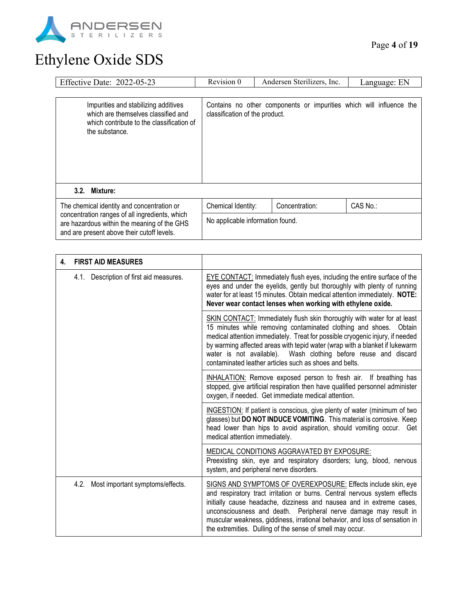

| Effective Date: 2022-05-23                                                                                                                  | Revision 0                                                                                            | Andersen Sterilizers, Inc. | Language: EN |
|---------------------------------------------------------------------------------------------------------------------------------------------|-------------------------------------------------------------------------------------------------------|----------------------------|--------------|
|                                                                                                                                             |                                                                                                       |                            |              |
| Impurities and stabilizing additives<br>which are themselves classified and<br>which contribute to the classification of<br>the substance.  | Contains no other components or impurities which will influence the<br>classification of the product. |                            |              |
| Mixture:<br>3.2.                                                                                                                            |                                                                                                       |                            |              |
| The chemical identity and concentration or                                                                                                  | Chemical Identity:                                                                                    | Concentration:             | CAS No.:     |
| concentration ranges of all ingredients, which<br>are hazardous within the meaning of the GHS<br>and are present above their cutoff levels. | No applicable information found.                                                                      |                            |              |

| 4. | <b>FIRST AID MEASURES</b>                |                                                                                                                                                                                                                                                                                                                                                                                                                                           |
|----|------------------------------------------|-------------------------------------------------------------------------------------------------------------------------------------------------------------------------------------------------------------------------------------------------------------------------------------------------------------------------------------------------------------------------------------------------------------------------------------------|
|    | 4.1. Description of first aid measures.  | EYE CONTACT: Immediately flush eyes, including the entire surface of the<br>eyes and under the eyelids, gently but thoroughly with plenty of running<br>water for at least 15 minutes. Obtain medical attention immediately. NOTE:<br>Never wear contact lenses when working with ethylene oxide.                                                                                                                                         |
|    |                                          | SKIN CONTACT: Immediately flush skin thoroughly with water for at least<br>15 minutes while removing contaminated clothing and shoes. Obtain<br>medical attention immediately. Treat for possible cryogenic injury, if needed<br>by warming affected areas with tepid water (wrap with a blanket if lukewarm<br>water is not available). Wash clothing before reuse and discard<br>contaminated leather articles such as shoes and belts. |
|    |                                          | INHALATION: Remove exposed person to fresh air. If breathing has<br>stopped, give artificial respiration then have qualified personnel administer<br>oxygen, if needed. Get immediate medical attention.                                                                                                                                                                                                                                  |
|    |                                          | INGESTION: If patient is conscious, give plenty of water (minimum of two<br>glasses) but DO NOT INDUCE VOMITING. This material is corrosive. Keep<br>head lower than hips to avoid aspiration, should vomiting occur. Get<br>medical attention immediately.                                                                                                                                                                               |
|    |                                          | MEDICAL CONDITIONS AGGRAVATED BY EXPOSURE:<br>Preexisting skin, eye and respiratory disorders; lung, blood, nervous<br>system, and peripheral nerve disorders.                                                                                                                                                                                                                                                                            |
|    | Most important symptoms/effects.<br>4.2. | SIGNS AND SYMPTOMS OF OVEREXPOSURE: Effects include skin, eye<br>and respiratory tract irritation or burns. Central nervous system effects<br>initially cause headache, dizziness and nausea and in extreme cases,<br>unconsciousness and death. Peripheral nerve damage may result in<br>muscular weakness, giddiness, irrational behavior, and loss of sensation in<br>the extremities. Dulling of the sense of smell may occur.        |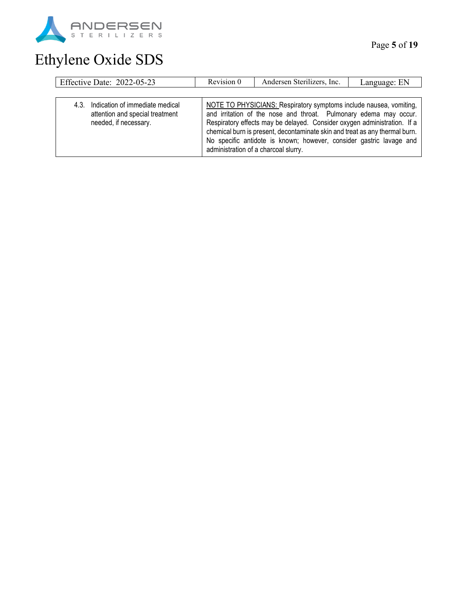

| Effective Date: 2022-05-23                                                                       | Revision 0 | Andersen Sterilizers, Inc.                                                                                                                                                                                                                                                                                                                                                                                        | Language: EN |
|--------------------------------------------------------------------------------------------------|------------|-------------------------------------------------------------------------------------------------------------------------------------------------------------------------------------------------------------------------------------------------------------------------------------------------------------------------------------------------------------------------------------------------------------------|--------------|
|                                                                                                  |            |                                                                                                                                                                                                                                                                                                                                                                                                                   |              |
| 4.3. Indication of immediate medical<br>attention and special treatment<br>needed, if necessary. |            | NOTE TO PHYSICIANS: Respiratory symptoms include nausea, vomiting,<br>and irritation of the nose and throat. Pulmonary edema may occur.<br>Respiratory effects may be delayed. Consider oxygen administration. If a<br>chemical burn is present, decontaminate skin and treat as any thermal burn.<br>No specific antidote is known; however, consider gastric lavage and<br>administration of a charcoal slurry. |              |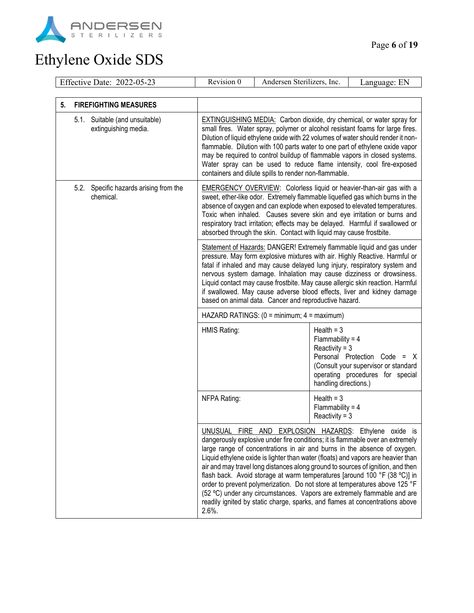

|    | Effective Date: 2022-05-23                             | Revision 0                                                                                                                                                                                                                                                                                                                                                                                                                                                                                                                                                                                                                                                                                                                                                                                                                                                                                                                                                                                                          | Andersen Sterilizers, Inc.                                 |   | Language: EN |
|----|--------------------------------------------------------|---------------------------------------------------------------------------------------------------------------------------------------------------------------------------------------------------------------------------------------------------------------------------------------------------------------------------------------------------------------------------------------------------------------------------------------------------------------------------------------------------------------------------------------------------------------------------------------------------------------------------------------------------------------------------------------------------------------------------------------------------------------------------------------------------------------------------------------------------------------------------------------------------------------------------------------------------------------------------------------------------------------------|------------------------------------------------------------|---|--------------|
|    |                                                        |                                                                                                                                                                                                                                                                                                                                                                                                                                                                                                                                                                                                                                                                                                                                                                                                                                                                                                                                                                                                                     |                                                            |   |              |
| 5. | <b>FIREFIGHTING MEASURES</b>                           |                                                                                                                                                                                                                                                                                                                                                                                                                                                                                                                                                                                                                                                                                                                                                                                                                                                                                                                                                                                                                     |                                                            |   |              |
|    | 5.1. Suitable (and unsuitable)<br>extinguishing media. | <b>EXTINGUISHING MEDIA:</b> Carbon dioxide, dry chemical, or water spray for<br>small fires. Water spray, polymer or alcohol resistant foams for large fires.<br>Dilution of liquid ethylene oxide with 22 volumes of water should render it non-<br>flammable. Dilution with 100 parts water to one part of ethylene oxide vapor<br>may be required to control buildup of flammable vapors in closed systems.<br>Water spray can be used to reduce flame intensity, cool fire-exposed<br>containers and dilute spills to render non-flammable.                                                                                                                                                                                                                                                                                                                                                                                                                                                                     |                                                            |   |              |
|    | 5.2. Specific hazards arising from the<br>chemical.    | <b>EMERGENCY OVERVIEW:</b> Colorless liquid or heavier-than-air gas with a<br>sweet, ether-like odor. Extremely flammable liquefied gas which burns in the<br>absence of oxygen and can explode when exposed to elevated temperatures.<br>Toxic when inhaled. Causes severe skin and eye irritation or burns and<br>respiratory tract irritation; effects may be delayed. Harmful if swallowed or<br>absorbed through the skin. Contact with liquid may cause frostbite.                                                                                                                                                                                                                                                                                                                                                                                                                                                                                                                                            |                                                            |   |              |
|    |                                                        | Statement of Hazards: DANGER! Extremely flammable liquid and gas under<br>pressure. May form explosive mixtures with air. Highly Reactive. Harmful or<br>fatal if inhaled and may cause delayed lung injury, respiratory system and<br>nervous system damage. Inhalation may cause dizziness or drowsiness.<br>Liquid contact may cause frostbite. May cause allergic skin reaction. Harmful<br>if swallowed. May cause adverse blood effects, liver and kidney damage<br>based on animal data. Cancer and reproductive hazard.                                                                                                                                                                                                                                                                                                                                                                                                                                                                                     |                                                            |   |              |
|    |                                                        |                                                                                                                                                                                                                                                                                                                                                                                                                                                                                                                                                                                                                                                                                                                                                                                                                                                                                                                                                                                                                     | HAZARD RATINGS: $(0 = \text{minimum}; 4 = \text{maximum})$ |   |              |
|    |                                                        | Health = $3$<br>HMIS Rating:<br>Flammability = $4$<br>Reactivity = $3$<br>Personal Protection Code =<br>(Consult your supervisor or standard<br>operating procedures for special<br>handling directions.)<br>Health = $3$<br>NFPA Rating:<br>Flammability = $4$<br>Reactivity = $3$<br>UNUSUAL FIRE AND EXPLOSION HAZARDS: Ethylene oxide is<br>dangerously explosive under fire conditions; it is flammable over an extremely<br>large range of concentrations in air and burns in the absence of oxygen.<br>Liquid ethylene oxide is lighter than water (floats) and vapors are heavier than<br>air and may travel long distances along ground to sources of ignition, and then<br>flash back. Avoid storage at warm temperatures [around 100 °F (38 °C)] in<br>order to prevent polymerization. Do not store at temperatures above 125 °F<br>(52 °C) under any circumstances. Vapors are extremely flammable and are<br>readily ignited by static charge, sparks, and flames at concentrations above<br>$2.6%$ . |                                                            | X |              |
|    |                                                        |                                                                                                                                                                                                                                                                                                                                                                                                                                                                                                                                                                                                                                                                                                                                                                                                                                                                                                                                                                                                                     |                                                            |   |              |
|    |                                                        |                                                                                                                                                                                                                                                                                                                                                                                                                                                                                                                                                                                                                                                                                                                                                                                                                                                                                                                                                                                                                     |                                                            |   |              |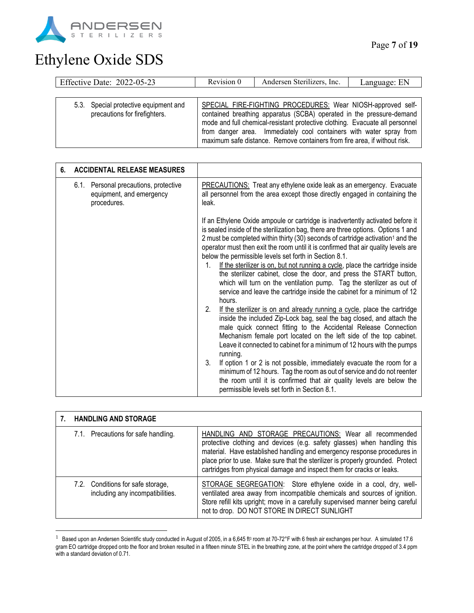

| Effective Date: 2022-05-23                                             | Revision 0 | Andersen Sterilizers, Inc.                                                                                                                                                                                                                                                                                                                                              | Language: EN |
|------------------------------------------------------------------------|------------|-------------------------------------------------------------------------------------------------------------------------------------------------------------------------------------------------------------------------------------------------------------------------------------------------------------------------------------------------------------------------|--------------|
|                                                                        |            |                                                                                                                                                                                                                                                                                                                                                                         |              |
| 5.3. Special protective equipment and<br>precautions for firefighters. |            | SPECIAL FIRE-FIGHTING PROCEDURES: Wear NIOSH-approved self-<br>contained breathing apparatus (SCBA) operated in the pressure-demand<br>mode and full chemical-resistant protective clothing. Evacuate all personnel<br>from danger area. Immediately cool containers with water spray from<br>maximum safe distance. Remove containers from fire area, if without risk. |              |

| 6. | <b>ACCIDENTAL RELEASE MEASURES</b>                                               |                                                                                                                                                                                                                                                                                                                                                                                                                                                                                                                                                                                                                                                                                                                                                                                                                                                                                                                                                                                                                                                                                                                                                                                                                                                                                                                                                                                                                         |  |
|----|----------------------------------------------------------------------------------|-------------------------------------------------------------------------------------------------------------------------------------------------------------------------------------------------------------------------------------------------------------------------------------------------------------------------------------------------------------------------------------------------------------------------------------------------------------------------------------------------------------------------------------------------------------------------------------------------------------------------------------------------------------------------------------------------------------------------------------------------------------------------------------------------------------------------------------------------------------------------------------------------------------------------------------------------------------------------------------------------------------------------------------------------------------------------------------------------------------------------------------------------------------------------------------------------------------------------------------------------------------------------------------------------------------------------------------------------------------------------------------------------------------------------|--|
|    | 6.1. Personal precautions, protective<br>equipment, and emergency<br>procedures. | PRECAUTIONS: Treat any ethylene oxide leak as an emergency. Evacuate<br>all personnel from the area except those directly engaged in containing the<br>leak.                                                                                                                                                                                                                                                                                                                                                                                                                                                                                                                                                                                                                                                                                                                                                                                                                                                                                                                                                                                                                                                                                                                                                                                                                                                            |  |
|    |                                                                                  | If an Ethylene Oxide ampoule or cartridge is inadvertently activated before it<br>is sealed inside of the sterilization bag, there are three options. Options 1 and<br>2 must be completed within thirty (30) seconds of cartridge activation <sup>1</sup> and the<br>operator must then exit the room until it is confirmed that air quality levels are<br>below the permissible levels set forth in Section 8.1.<br>If the sterilizer is on, but not running a cycle, place the cartridge inside<br>1.<br>the sterilizer cabinet, close the door, and press the START button,<br>which will turn on the ventilation pump. Tag the sterilizer as out of<br>service and leave the cartridge inside the cabinet for a minimum of 12<br>hours.<br>If the sterilizer is on and already running a cycle, place the cartridge<br>2.<br>inside the included Zip-Lock bag, seal the bag closed, and attach the<br>male quick connect fitting to the Accidental Release Connection<br>Mechanism female port located on the left side of the top cabinet.<br>Leave it connected to cabinet for a minimum of 12 hours with the pumps<br>running.<br>If option 1 or 2 is not possible, immediately evacuate the room for a<br>3.<br>minimum of 12 hours. Tag the room as out of service and do not reenter<br>the room until it is confirmed that air quality levels are below the<br>permissible levels set forth in Section 8.1. |  |

| <b>HANDLING AND STORAGE</b>                                           |                                                                                                                                                                                                                                                                                                                                                                            |
|-----------------------------------------------------------------------|----------------------------------------------------------------------------------------------------------------------------------------------------------------------------------------------------------------------------------------------------------------------------------------------------------------------------------------------------------------------------|
| 7.1. Precautions for safe handling.                                   | HANDLING AND STORAGE PRECAUTIONS: Wear all recommended<br>protective clothing and devices (e.g. safety glasses) when handling this<br>material. Have established handling and emergency response procedures in<br>place prior to use. Make sure that the sterilizer is properly grounded. Protect<br>cartridges from physical damage and inspect them for cracks or leaks. |
| 7.2. Conditions for safe storage,<br>including any incompatibilities. | STORAGE SEGREGATION: Store ethylene oxide in a cool, dry, well-<br>ventilated area away from incompatible chemicals and sources of ignition.<br>Store refill kits upright; move in a carefully supervised manner being careful<br>not to drop. DO NOT STORE IN DIRECT SUNLIGHT                                                                                             |

<sup>&</sup>lt;sup>1</sup> Based upon an Andersen Scientific study conducted in August of 2005, in a 6,645 ft<sup>3</sup> room at 70-72°F with 6 fresh air exchanges per hour. A simulated 17.6 gram EO cartridge dropped onto the floor and broken resulted in a fifteen minute STEL in the breathing zone, at the point where the cartridge dropped of 3.4 ppm with a standard deviation of 0.71.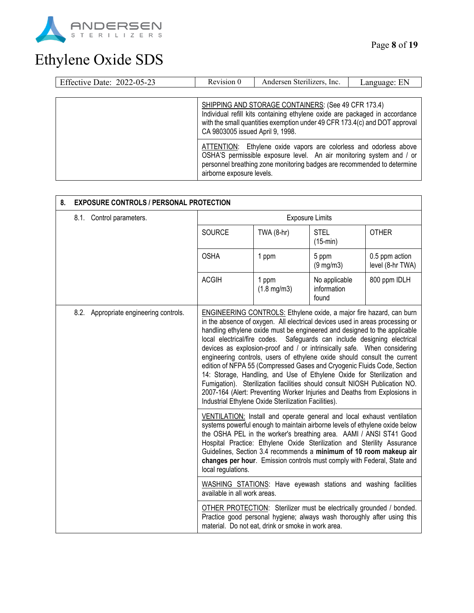

| Effective Date: 2022-05-23 | Revision 0                                                                                                                                                                                                                                           | Andersen Sterilizers, Inc. | Language: EN |
|----------------------------|------------------------------------------------------------------------------------------------------------------------------------------------------------------------------------------------------------------------------------------------------|----------------------------|--------------|
|                            |                                                                                                                                                                                                                                                      |                            |              |
|                            | SHIPPING AND STORAGE CONTAINERS: (See 49 CFR 173.4)<br>Individual refill kits containing ethylene oxide are packaged in accordance<br>with the small quantities exemption under 49 CFR 173.4(c) and DOT approval<br>CA 9803005 issued April 9, 1998. |                            |              |
|                            | ATTENTION: Ethylene oxide vapors are colorless and odorless above<br>OSHA'S permissible exposure level. An air monitoring system and / or<br>personnel breathing zone monitoring badges are recommended to determine<br>airborne exposure levels.    |                            |              |

| 8. | <b>EXPOSURE CONTROLS / PERSONAL PROTECTION</b> |                                        |                                                                                                                                                                                                                                                                                                                                                                                                                                                                                                                                                                                                                                                                                                                                                                                                                                                     |                                    |                                       |              |
|----|------------------------------------------------|----------------------------------------|-----------------------------------------------------------------------------------------------------------------------------------------------------------------------------------------------------------------------------------------------------------------------------------------------------------------------------------------------------------------------------------------------------------------------------------------------------------------------------------------------------------------------------------------------------------------------------------------------------------------------------------------------------------------------------------------------------------------------------------------------------------------------------------------------------------------------------------------------------|------------------------------------|---------------------------------------|--------------|
|    |                                                | 8.1. Control parameters.               | <b>Exposure Limits</b>                                                                                                                                                                                                                                                                                                                                                                                                                                                                                                                                                                                                                                                                                                                                                                                                                              |                                    |                                       |              |
|    |                                                |                                        | SOURCE                                                                                                                                                                                                                                                                                                                                                                                                                                                                                                                                                                                                                                                                                                                                                                                                                                              | TWA $(8-hr)$                       | <b>STEL</b><br>$(15-min)$             | <b>OTHER</b> |
|    | <b>OSHA</b>                                    | 1 ppm                                  | 5 ppm<br>$(9 \text{ mg/m3})$                                                                                                                                                                                                                                                                                                                                                                                                                                                                                                                                                                                                                                                                                                                                                                                                                        | 0.5 ppm action<br>level (8-hr TWA) |                                       |              |
|    |                                                |                                        | <b>ACGIH</b>                                                                                                                                                                                                                                                                                                                                                                                                                                                                                                                                                                                                                                                                                                                                                                                                                                        | 1 ppm<br>$(1.8 \text{ mg/m3})$     | No applicable<br>information<br>found | 800 ppm IDLH |
|    |                                                | 8.2. Appropriate engineering controls. | <b>ENGINEERING CONTROLS:</b> Ethylene oxide, a major fire hazard, can burn<br>in the absence of oxygen. All electrical devices used in areas processing or<br>handling ethylene oxide must be engineered and designed to the applicable<br>local electrical/fire codes. Safeguards can include designing electrical<br>devices as explosion-proof and / or intrinsically safe. When considering<br>engineering controls, users of ethylene oxide should consult the current<br>edition of NFPA 55 (Compressed Gases and Cryogenic Fluids Code, Section<br>14: Storage, Handling, and Use of Ethylene Oxide for Sterilization and<br>Fumigation). Sterilization facilities should consult NIOSH Publication NO.<br>2007-164 (Alert: Preventing Worker Injuries and Deaths from Explosions in<br>Industrial Ethylene Oxide Sterilization Facilities). |                                    |                                       |              |
|    |                                                |                                        | VENTILATION: Install and operate general and local exhaust ventilation<br>systems powerful enough to maintain airborne levels of ethylene oxide below<br>the OSHA PEL in the worker's breathing area. AAMI / ANSI ST41 Good<br>Hospital Practice: Ethylene Oxide Sterilization and Sterility Assurance<br>Guidelines, Section 3.4 recommends a minimum of 10 room makeup air<br>changes per hour. Emission controls must comply with Federal, State and<br>local regulations.<br>WASHING STATIONS: Have eyewash stations and washing facilities<br>available in all work areas.                                                                                                                                                                                                                                                                     |                                    |                                       |              |
|    |                                                |                                        |                                                                                                                                                                                                                                                                                                                                                                                                                                                                                                                                                                                                                                                                                                                                                                                                                                                     |                                    |                                       |              |
|    |                                                |                                        | OTHER PROTECTION: Sterilizer must be electrically grounded / bonded.<br>Practice good personal hygiene; always wash thoroughly after using this<br>material. Do not eat, drink or smoke in work area.                                                                                                                                                                                                                                                                                                                                                                                                                                                                                                                                                                                                                                               |                                    |                                       |              |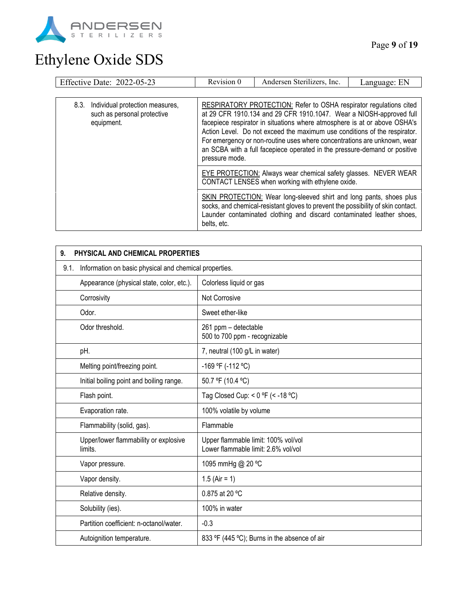

| Effective Date: 2022-05-23                                                           | Revision 0                                                                                                                                                                                                                                                                                                                                                                                                                                                                     | Andersen Sterilizers, Inc. | Language: EN |
|--------------------------------------------------------------------------------------|--------------------------------------------------------------------------------------------------------------------------------------------------------------------------------------------------------------------------------------------------------------------------------------------------------------------------------------------------------------------------------------------------------------------------------------------------------------------------------|----------------------------|--------------|
|                                                                                      |                                                                                                                                                                                                                                                                                                                                                                                                                                                                                |                            |              |
| 8.3.<br>Individual protection measures,<br>such as personal protective<br>equipment. | RESPIRATORY PROTECTION: Refer to OSHA respirator regulations cited<br>at 29 CFR 1910.134 and 29 CFR 1910.1047. Wear a NIOSH-approved full<br>facepiece respirator in situations where atmosphere is at or above OSHA's<br>Action Level. Do not exceed the maximum use conditions of the respirator.<br>For emergency or non-routine uses where concentrations are unknown, wear<br>an SCBA with a full facepiece operated in the pressure-demand or positive<br>pressure mode. |                            |              |
|                                                                                      | EYE PROTECTION: Always wear chemical safety glasses. NEVER WEAR<br>CONTACT LENSES when working with ethylene oxide.                                                                                                                                                                                                                                                                                                                                                            |                            |              |
|                                                                                      | SKIN PROTECTION: Wear long-sleeved shirt and long pants, shoes plus<br>socks, and chemical-resistant gloves to prevent the possibility of skin contact.<br>Launder contaminated clothing and discard contaminated leather shoes,<br>belts, etc.                                                                                                                                                                                                                                |                            |              |

| 9.   | PHYSICAL AND CHEMICAL PROPERTIES                                     |                                                                            |  |  |
|------|----------------------------------------------------------------------|----------------------------------------------------------------------------|--|--|
| 9.1. | Information on basic physical and chemical properties.               |                                                                            |  |  |
|      | Appearance (physical state, color, etc.).<br>Colorless liquid or gas |                                                                            |  |  |
|      | Corrosivity                                                          | Not Corrosive                                                              |  |  |
|      | Odor.                                                                | Sweet ether-like                                                           |  |  |
|      | Odor threshold.                                                      | 261 ppm - detectable<br>500 to 700 ppm - recognizable                      |  |  |
|      | pH.                                                                  | 7, neutral (100 g/L in water)                                              |  |  |
|      | Melting point/freezing point.                                        | -169 °F (-112 °C)                                                          |  |  |
|      | Initial boiling point and boiling range.                             | 50.7 °F (10.4 °C)                                                          |  |  |
|      | Flash point.                                                         | Tag Closed Cup: < $0$ °F (< -18 °C)                                        |  |  |
|      | Evaporation rate.                                                    | 100% volatile by volume                                                    |  |  |
|      | Flammability (solid, gas).                                           | Flammable                                                                  |  |  |
|      | Upper/lower flammability or explosive<br>limits.                     | Upper flammable limit: 100% vol/vol<br>Lower flammable limit: 2.6% vol/vol |  |  |
|      | Vapor pressure.                                                      | 1095 mmHg @ 20 °C                                                          |  |  |
|      | Vapor density.                                                       | 1.5 (Air = 1)                                                              |  |  |
|      | Relative density.                                                    | 0.875 at 20 °C                                                             |  |  |
|      | Solubility (ies).                                                    | 100% in water                                                              |  |  |
|      | Partition coefficient: n-octanol/water.                              | $-0.3$                                                                     |  |  |
|      | Autoignition temperature.                                            | 833 °F (445 °C); Burns in the absence of air                               |  |  |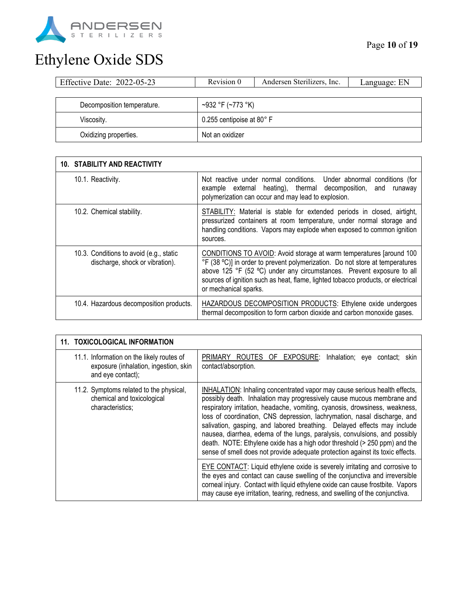

| Effective Date: 2022-05-23 | Revision 0                | Andersen Sterilizers, Inc. | Language: EN |
|----------------------------|---------------------------|----------------------------|--------------|
|                            |                           |                            |              |
| Decomposition temperature. | ~932 °F (~773 °K)         |                            |              |
| Viscosity.                 | 0.255 centipoise at 80° F |                            |              |
| Oxidizing properties.      | Not an oxidizer           |                            |              |

| <b>10. STABILITY AND REACTIVITY</b>                                        |                                                                                                                                                                                                                                                                                                                                           |
|----------------------------------------------------------------------------|-------------------------------------------------------------------------------------------------------------------------------------------------------------------------------------------------------------------------------------------------------------------------------------------------------------------------------------------|
| 10.1. Reactivity.                                                          | Not reactive under normal conditions. Under abnormal conditions (for<br>example external heating), thermal decomposition, and<br>runaway<br>polymerization can occur and may lead to explosion.                                                                                                                                           |
| 10.2. Chemical stability.                                                  | STABILITY: Material is stable for extended periods in closed, airtight,<br>pressurized containers at room temperature, under normal storage and<br>handling conditions. Vapors may explode when exposed to common ignition<br>sources.                                                                                                    |
| 10.3. Conditions to avoid (e.g., static<br>discharge, shock or vibration). | CONDITIONS TO AVOID: Avoid storage at warm temperatures [around 100<br>°F (38 °C)] in order to prevent polymerization. Do not store at temperatures<br>above 125 °F (52 °C) under any circumstances. Prevent exposure to all<br>sources of ignition such as heat, flame, lighted tobacco products, or electrical<br>or mechanical sparks. |
| 10.4. Hazardous decomposition products.                                    | <b>HAZARDOUS DECOMPOSITION PRODUCTS: Ethylene oxide undergoes</b><br>thermal decomposition to form carbon dioxide and carbon monoxide gases.                                                                                                                                                                                              |

| 11. TOXICOLOGICAL INFORMATION                                                                           |                                                                                                                                                                                                                                                                                                                                                                                                                                                                                                                                                                                                                                        |
|---------------------------------------------------------------------------------------------------------|----------------------------------------------------------------------------------------------------------------------------------------------------------------------------------------------------------------------------------------------------------------------------------------------------------------------------------------------------------------------------------------------------------------------------------------------------------------------------------------------------------------------------------------------------------------------------------------------------------------------------------------|
| 11.1. Information on the likely routes of<br>exposure (inhalation, ingestion, skin<br>and eye contact); | ROUTES OF EXPOSURE: Inhalation; eye contact; skin<br>PRIMARY<br>contact/absorption.                                                                                                                                                                                                                                                                                                                                                                                                                                                                                                                                                    |
| 11.2. Symptoms related to the physical,<br>chemical and toxicological<br>characteristics;               | INHALATION: Inhaling concentrated vapor may cause serious health effects,<br>possibly death. Inhalation may progressively cause mucous membrane and<br>respiratory irritation, headache, vomiting, cyanosis, drowsiness, weakness,<br>loss of coordination, CNS depression, lachrymation, nasal discharge, and<br>salivation, gasping, and labored breathing. Delayed effects may include<br>nausea, diarrhea, edema of the lungs, paralysis, convulsions, and possibly<br>death. NOTE: Ethylene oxide has a high odor threshold (> 250 ppm) and the<br>sense of smell does not provide adequate protection against its toxic effects. |
|                                                                                                         | EYE CONTACT: Liquid ethylene oxide is severely irritating and corrosive to<br>the eyes and contact can cause swelling of the conjunctiva and irreversible<br>corneal injury. Contact with liquid ethylene oxide can cause frostbite. Vapors<br>may cause eye irritation, tearing, redness, and swelling of the conjunctiva.                                                                                                                                                                                                                                                                                                            |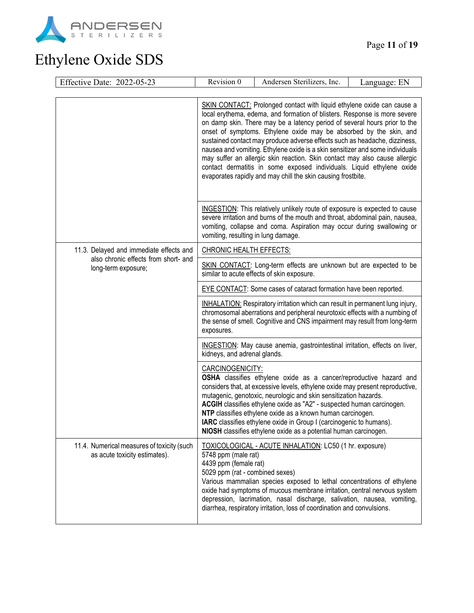

| Effective Date: 2022-05-23                                                  | Revision 0                                                                                                                                                                                                                                                                                                                                                                                                                                                                                                                                                                                                                                                                                   | Andersen Sterilizers, Inc.                                                                                                                                                                                                                                                                                                                                                                                                                                                                                | Language: EN |
|-----------------------------------------------------------------------------|----------------------------------------------------------------------------------------------------------------------------------------------------------------------------------------------------------------------------------------------------------------------------------------------------------------------------------------------------------------------------------------------------------------------------------------------------------------------------------------------------------------------------------------------------------------------------------------------------------------------------------------------------------------------------------------------|-----------------------------------------------------------------------------------------------------------------------------------------------------------------------------------------------------------------------------------------------------------------------------------------------------------------------------------------------------------------------------------------------------------------------------------------------------------------------------------------------------------|--------------|
|                                                                             |                                                                                                                                                                                                                                                                                                                                                                                                                                                                                                                                                                                                                                                                                              |                                                                                                                                                                                                                                                                                                                                                                                                                                                                                                           |              |
|                                                                             | SKIN CONTACT: Prolonged contact with liquid ethylene oxide can cause a<br>local erythema, edema, and formation of blisters. Response is more severe<br>on damp skin. There may be a latency period of several hours prior to the<br>onset of symptoms. Ethylene oxide may be absorbed by the skin, and<br>sustained contact may produce adverse effects such as headache, dizziness,<br>nausea and vomiting. Ethylene oxide is a skin sensitizer and some individuals<br>may suffer an allergic skin reaction. Skin contact may also cause allergic<br>contact dermatitis in some exposed individuals. Liquid ethylene oxide<br>evaporates rapidly and may chill the skin causing frostbite. |                                                                                                                                                                                                                                                                                                                                                                                                                                                                                                           |              |
|                                                                             | vomiting, resulting in lung damage.                                                                                                                                                                                                                                                                                                                                                                                                                                                                                                                                                                                                                                                          | INGESTION: This relatively unlikely route of exposure is expected to cause<br>severe irritation and burns of the mouth and throat, abdominal pain, nausea,<br>vomiting, collapse and coma. Aspiration may occur during swallowing or                                                                                                                                                                                                                                                                      |              |
| 11.3. Delayed and immediate effects and                                     | <b>CHRONIC HEALTH EFFECTS:</b>                                                                                                                                                                                                                                                                                                                                                                                                                                                                                                                                                                                                                                                               |                                                                                                                                                                                                                                                                                                                                                                                                                                                                                                           |              |
| also chronic effects from short- and<br>long-term exposure;                 | SKIN CONTACT: Long-term effects are unknown but are expected to be<br>similar to acute effects of skin exposure.                                                                                                                                                                                                                                                                                                                                                                                                                                                                                                                                                                             |                                                                                                                                                                                                                                                                                                                                                                                                                                                                                                           |              |
|                                                                             |                                                                                                                                                                                                                                                                                                                                                                                                                                                                                                                                                                                                                                                                                              | <b>EYE CONTACT:</b> Some cases of cataract formation have been reported.                                                                                                                                                                                                                                                                                                                                                                                                                                  |              |
|                                                                             | exposures.                                                                                                                                                                                                                                                                                                                                                                                                                                                                                                                                                                                                                                                                                   | INHALATION: Respiratory irritation which can result in permanent lung injury,<br>chromosomal aberrations and peripheral neurotoxic effects with a numbing of<br>the sense of smell. Cognitive and CNS impairment may result from long-term                                                                                                                                                                                                                                                                |              |
|                                                                             | kidneys, and adrenal glands.                                                                                                                                                                                                                                                                                                                                                                                                                                                                                                                                                                                                                                                                 | INGESTION: May cause anemia, gastrointestinal irritation, effects on liver,                                                                                                                                                                                                                                                                                                                                                                                                                               |              |
|                                                                             | CARCINOGENICITY:                                                                                                                                                                                                                                                                                                                                                                                                                                                                                                                                                                                                                                                                             | OSHA classifies ethylene oxide as a cancer/reproductive hazard and<br>considers that, at excessive levels, ethylene oxide may present reproductive,<br>mutagenic, genotoxic, neurologic and skin sensitization hazards.<br>ACGIH classifies ethylene oxide as "A2" - suspected human carcinogen.<br>NTP classifies ethylene oxide as a known human carcinogen.<br>IARC classifies ethylene oxide in Group I (carcinogenic to humans).<br>NIOSH classifies ethylene oxide as a potential human carcinogen. |              |
| 11.4. Numerical measures of toxicity (such<br>as acute toxicity estimates). | 5748 ppm (male rat)<br>4439 ppm (female rat)<br>5029 ppm (rat - combined sexes)                                                                                                                                                                                                                                                                                                                                                                                                                                                                                                                                                                                                              | TOXICOLOGICAL - ACUTE INHALATION: LC50 (1 hr. exposure)<br>Various mammalian species exposed to lethal concentrations of ethylene<br>oxide had symptoms of mucous membrane irritation, central nervous system<br>depression, lacrimation, nasal discharge, salivation, nausea, vomiting,<br>diarrhea, respiratory irritation, loss of coordination and convulsions.                                                                                                                                       |              |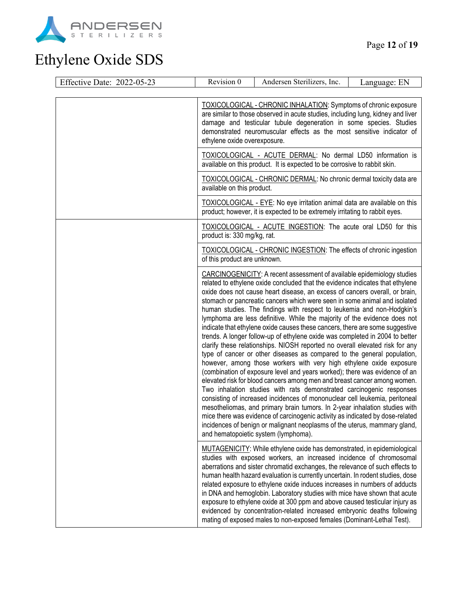

| Effective Date: 2022-05-23 | Revision 0                                                                                                                                                                                                                                                                                                                                                                                                                                                                                                                                                                                                                                                                                                                                                                                                                                                                                                                                                                                                                                                                                                                                                                                                                                                                                                                                                                                                                                                                        | Andersen Sterilizers, Inc.                                                                                                                                                                                                                                                                                                                                                                                                                                                                                                                                                                                                                                                                                      | Language: EN |
|----------------------------|-----------------------------------------------------------------------------------------------------------------------------------------------------------------------------------------------------------------------------------------------------------------------------------------------------------------------------------------------------------------------------------------------------------------------------------------------------------------------------------------------------------------------------------------------------------------------------------------------------------------------------------------------------------------------------------------------------------------------------------------------------------------------------------------------------------------------------------------------------------------------------------------------------------------------------------------------------------------------------------------------------------------------------------------------------------------------------------------------------------------------------------------------------------------------------------------------------------------------------------------------------------------------------------------------------------------------------------------------------------------------------------------------------------------------------------------------------------------------------------|-----------------------------------------------------------------------------------------------------------------------------------------------------------------------------------------------------------------------------------------------------------------------------------------------------------------------------------------------------------------------------------------------------------------------------------------------------------------------------------------------------------------------------------------------------------------------------------------------------------------------------------------------------------------------------------------------------------------|--------------|
|                            |                                                                                                                                                                                                                                                                                                                                                                                                                                                                                                                                                                                                                                                                                                                                                                                                                                                                                                                                                                                                                                                                                                                                                                                                                                                                                                                                                                                                                                                                                   |                                                                                                                                                                                                                                                                                                                                                                                                                                                                                                                                                                                                                                                                                                                 |              |
|                            | TOXICOLOGICAL - CHRONIC INHALATION: Symptoms of chronic exposure<br>are similar to those observed in acute studies, including lung, kidney and liver<br>damage and testicular tubule degeneration in some species. Studies<br>demonstrated neuromuscular effects as the most sensitive indicator of<br>ethylene oxide overexposure.<br>TOXICOLOGICAL - ACUTE DERMAL: No dermal LD50 information is<br>available on this product. It is expected to be corrosive to rabbit skin.<br><b>TOXICOLOGICAL - CHRONIC DERMAL: No chronic dermal toxicity data are</b><br>available on this product.                                                                                                                                                                                                                                                                                                                                                                                                                                                                                                                                                                                                                                                                                                                                                                                                                                                                                       |                                                                                                                                                                                                                                                                                                                                                                                                                                                                                                                                                                                                                                                                                                                 |              |
|                            |                                                                                                                                                                                                                                                                                                                                                                                                                                                                                                                                                                                                                                                                                                                                                                                                                                                                                                                                                                                                                                                                                                                                                                                                                                                                                                                                                                                                                                                                                   |                                                                                                                                                                                                                                                                                                                                                                                                                                                                                                                                                                                                                                                                                                                 |              |
|                            |                                                                                                                                                                                                                                                                                                                                                                                                                                                                                                                                                                                                                                                                                                                                                                                                                                                                                                                                                                                                                                                                                                                                                                                                                                                                                                                                                                                                                                                                                   |                                                                                                                                                                                                                                                                                                                                                                                                                                                                                                                                                                                                                                                                                                                 |              |
|                            |                                                                                                                                                                                                                                                                                                                                                                                                                                                                                                                                                                                                                                                                                                                                                                                                                                                                                                                                                                                                                                                                                                                                                                                                                                                                                                                                                                                                                                                                                   | TOXICOLOGICAL - EYE: No eye irritation animal data are available on this<br>product; however, it is expected to be extremely irritating to rabbit eyes.                                                                                                                                                                                                                                                                                                                                                                                                                                                                                                                                                         |              |
|                            | product is: 330 mg/kg, rat.                                                                                                                                                                                                                                                                                                                                                                                                                                                                                                                                                                                                                                                                                                                                                                                                                                                                                                                                                                                                                                                                                                                                                                                                                                                                                                                                                                                                                                                       | TOXICOLOGICAL - ACUTE INGESTION: The acute oral LD50 for this                                                                                                                                                                                                                                                                                                                                                                                                                                                                                                                                                                                                                                                   |              |
|                            | <b>TOXICOLOGICAL - CHRONIC INGESTION: The effects of chronic ingestion</b><br>of this product are unknown.                                                                                                                                                                                                                                                                                                                                                                                                                                                                                                                                                                                                                                                                                                                                                                                                                                                                                                                                                                                                                                                                                                                                                                                                                                                                                                                                                                        |                                                                                                                                                                                                                                                                                                                                                                                                                                                                                                                                                                                                                                                                                                                 |              |
|                            | CARCINOGENICITY: A recent assessment of available epidemiology studies<br>related to ethylene oxide concluded that the evidence indicates that ethylene<br>oxide does not cause heart disease, an excess of cancers overall, or brain,<br>stomach or pancreatic cancers which were seen in some animal and isolated<br>human studies. The findings with respect to leukemia and non-Hodgkin's<br>lymphoma are less definitive. While the majority of the evidence does not<br>indicate that ethylene oxide causes these cancers, there are some suggestive<br>trends. A longer follow-up of ethylene oxide was completed in 2004 to better<br>clarify these relationships. NIOSH reported no overall elevated risk for any<br>type of cancer or other diseases as compared to the general population,<br>however, among those workers with very high ethylene oxide exposure<br>(combination of exposure level and years worked); there was evidence of an<br>elevated risk for blood cancers among men and breast cancer among women.<br>Two inhalation studies with rats demonstrated carcinogenic responses<br>consisting of increased incidences of mononuclear cell leukemia, peritoneal<br>mesotheliomas, and primary brain tumors. In 2-year inhalation studies with<br>mice there was evidence of carcinogenic activity as indicated by dose-related<br>incidences of benign or malignant neoplasms of the uterus, mammary gland,<br>and hematopoietic system (lymphoma). |                                                                                                                                                                                                                                                                                                                                                                                                                                                                                                                                                                                                                                                                                                                 |              |
|                            |                                                                                                                                                                                                                                                                                                                                                                                                                                                                                                                                                                                                                                                                                                                                                                                                                                                                                                                                                                                                                                                                                                                                                                                                                                                                                                                                                                                                                                                                                   | MUTAGENICITY: While ethylene oxide has demonstrated, in epidemiological<br>studies with exposed workers, an increased incidence of chromosomal<br>aberrations and sister chromatid exchanges, the relevance of such effects to<br>human health hazard evaluation is currently uncertain. In rodent studies, dose<br>related exposure to ethylene oxide induces increases in numbers of adducts<br>in DNA and hemoglobin. Laboratory studies with mice have shown that acute<br>exposure to ethylene oxide at 300 ppm and above caused testicular injury as<br>evidenced by concentration-related increased embryonic deaths following<br>mating of exposed males to non-exposed females (Dominant-Lethal Test). |              |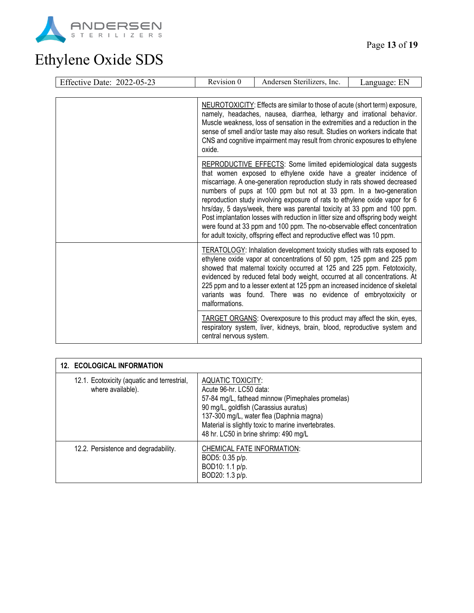

| <b>Effective Date: 2022-05-23</b> | Revision 0                                                                                                                                                                                                                                                                                                                                                                                                                                                                                                                                                                                                                                                                                    | Andersen Sterilizers, Inc.                                                                                                                                                                                                                                                                                                                                                                                                                                           | Language: EN |
|-----------------------------------|-----------------------------------------------------------------------------------------------------------------------------------------------------------------------------------------------------------------------------------------------------------------------------------------------------------------------------------------------------------------------------------------------------------------------------------------------------------------------------------------------------------------------------------------------------------------------------------------------------------------------------------------------------------------------------------------------|----------------------------------------------------------------------------------------------------------------------------------------------------------------------------------------------------------------------------------------------------------------------------------------------------------------------------------------------------------------------------------------------------------------------------------------------------------------------|--------------|
|                                   |                                                                                                                                                                                                                                                                                                                                                                                                                                                                                                                                                                                                                                                                                               |                                                                                                                                                                                                                                                                                                                                                                                                                                                                      |              |
|                                   | NEUROTOXICITY: Effects are similar to those of acute (short term) exposure,<br>namely, headaches, nausea, diarrhea, lethargy and irrational behavior.<br>Muscle weakness, loss of sensation in the extremities and a reduction in the<br>sense of smell and/or taste may also result. Studies on workers indicate that<br>CNS and cognitive impairment may result from chronic exposures to ethylene<br>oxide.                                                                                                                                                                                                                                                                                |                                                                                                                                                                                                                                                                                                                                                                                                                                                                      |              |
|                                   | REPRODUCTIVE EFFECTS: Some limited epidemiological data suggests<br>that women exposed to ethylene oxide have a greater incidence of<br>miscarriage. A one-generation reproduction study in rats showed decreased<br>numbers of pups at 100 ppm but not at 33 ppm. In a two-generation<br>reproduction study involving exposure of rats to ethylene oxide vapor for 6<br>hrs/day, 5 days/week, there was parental toxicity at 33 ppm and 100 ppm.<br>Post implantation losses with reduction in litter size and offspring body weight<br>were found at 33 ppm and 100 ppm. The no-observable effect concentration<br>for adult toxicity, offspring effect and reproductive effect was 10 ppm. |                                                                                                                                                                                                                                                                                                                                                                                                                                                                      |              |
|                                   | malformations.                                                                                                                                                                                                                                                                                                                                                                                                                                                                                                                                                                                                                                                                                | <b>TERATOLOGY:</b> Inhalation development toxicity studies with rats exposed to<br>ethylene oxide vapor at concentrations of 50 ppm, 125 ppm and 225 ppm<br>showed that maternal toxicity occurred at 125 and 225 ppm. Fetotoxicity,<br>evidenced by reduced fetal body weight, occurred at all concentrations. At<br>225 ppm and to a lesser extent at 125 ppm an increased incidence of skeletal<br>variants was found. There was no evidence of embryotoxicity or |              |
|                                   | central nervous system.                                                                                                                                                                                                                                                                                                                                                                                                                                                                                                                                                                                                                                                                       | <b>TARGET ORGANS:</b> Overexposure to this product may affect the skin, eyes,<br>respiratory system, liver, kidneys, brain, blood, reproductive system and                                                                                                                                                                                                                                                                                                           |              |

| <b>12. ECOLOGICAL INFORMATION</b>                                |                                                                                                                                                                                                                                                                                       |
|------------------------------------------------------------------|---------------------------------------------------------------------------------------------------------------------------------------------------------------------------------------------------------------------------------------------------------------------------------------|
| 12.1. Ecotoxicity (aquatic and terrestrial,<br>where available). | AQUATIC TOXICITY:<br>Acute 96-hr. LC50 data:<br>57-84 mg/L, fathead minnow (Pimephales promelas)<br>90 mg/L, goldfish (Carassius auratus)<br>137-300 mg/L, water flea (Daphnia magna)<br>Material is slightly toxic to marine invertebrates.<br>48 hr. LC50 in brine shrimp: 490 mg/L |
| 12.2. Persistence and degradability.                             | CHEMICAL FATE INFORMATION:<br>BOD5: 0.35 p/p.<br>BOD10: 1.1 p/p.<br>BOD20: 1.3 p/p.                                                                                                                                                                                                   |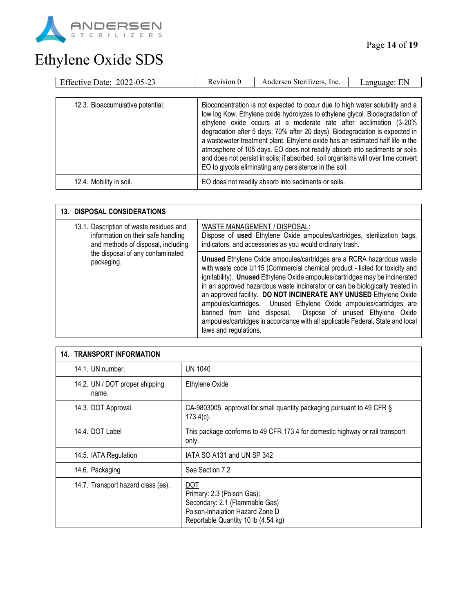

| Effective Date: 2022-05-23       | Revision 0 | Andersen Sterilizers, Inc.                                                                                                                                                                                                                                                                                                                                                                                                                                                                                                                                                                                                      | Language: EN |
|----------------------------------|------------|---------------------------------------------------------------------------------------------------------------------------------------------------------------------------------------------------------------------------------------------------------------------------------------------------------------------------------------------------------------------------------------------------------------------------------------------------------------------------------------------------------------------------------------------------------------------------------------------------------------------------------|--------------|
|                                  |            |                                                                                                                                                                                                                                                                                                                                                                                                                                                                                                                                                                                                                                 |              |
| 12.3. Bioaccumulative potential. |            | Bioconcentration is not expected to occur due to high water solubility and a<br>low log Kow. Ethylene oxide hydrolyzes to ethylene glycol. Biodegradation of<br>ethylene oxide occurs at a moderate rate after acclimation (3-20%<br>degradation after 5 days; 70% after 20 days). Biodegradation is expected in<br>a wastewater treatment plant. Ethylene oxide has an estimated half life in the<br>atmosphere of 105 days. EO does not readily absorb into sediments or soils<br>and does not persist in soils; if absorbed, soil organisms will over time convert<br>EO to glycols eliminating any persistence in the soil. |              |
| 12.4. Mobility in soil.          |            | EO does not readily absorb into sediments or soils.                                                                                                                                                                                                                                                                                                                                                                                                                                                                                                                                                                             |              |

| <b>13. DISPOSAL CONSIDERATIONS</b>                                                                                                                                    |                                                                                                                                                                                                                                                                                                                                                                                                                                                                                                                                                                                                                                         |
|-----------------------------------------------------------------------------------------------------------------------------------------------------------------------|-----------------------------------------------------------------------------------------------------------------------------------------------------------------------------------------------------------------------------------------------------------------------------------------------------------------------------------------------------------------------------------------------------------------------------------------------------------------------------------------------------------------------------------------------------------------------------------------------------------------------------------------|
| 13.1. Description of waste residues and<br>information on their safe handling<br>and methods of disposal, including<br>the disposal of any contaminated<br>packaging. | WASTE MANAGEMENT / DISPOSAL:<br>Dispose of used Ethylene Oxide ampoules/cartridges, sterilization bags,<br>indicators, and accessories as you would ordinary trash.                                                                                                                                                                                                                                                                                                                                                                                                                                                                     |
|                                                                                                                                                                       | Unused Ethylene Oxide ampoules/cartridges are a RCRA hazardous waste<br>with waste code U115 (Commercial chemical product - listed for toxicity and<br>ignitability). Unused Ethylene Oxide ampoules/cartridges may be incinerated<br>in an approved hazardous waste incinerator or can be biologically treated in<br>an approved facility. DO NOT INCINERATE ANY UNUSED Ethylene Oxide<br>ampoules/cartridges. Unused Ethylene Oxide ampoules/cartridges are<br>banned from land disposal. Dispose of unused Ethylene Oxide<br>ampoules/cartridges in accordance with all applicable Federal, State and local<br>laws and regulations. |

| <b>14. TRANSPORT INFORMATION</b>        |                                                                                                                                                      |
|-----------------------------------------|------------------------------------------------------------------------------------------------------------------------------------------------------|
| 14.1. UN number.                        | UN 1040                                                                                                                                              |
| 14.2. UN / DOT proper shipping<br>name. | Ethylene Oxide                                                                                                                                       |
| 14.3. DOT Approval                      | CA-9803005, approval for small quantity packaging pursuant to 49 CFR §<br>$173.4(c)$ .                                                               |
| 14.4. DOT Label                         | This package conforms to 49 CFR 173.4 for domestic highway or rail transport<br>only.                                                                |
| 14.5. IATA Regulation                   | IATA SO A131 and UN SP 342                                                                                                                           |
| 14.6. Packaging                         | See Section 7.2                                                                                                                                      |
| 14.7. Transport hazard class (es).      | <b>DOT</b><br>Primary: 2.3 (Poison Gas);<br>Secondary: 2.1 (Flammable Gas)<br>Poison-Inhalation Hazard Zone D<br>Reportable Quantity 10 lb (4.54 kg) |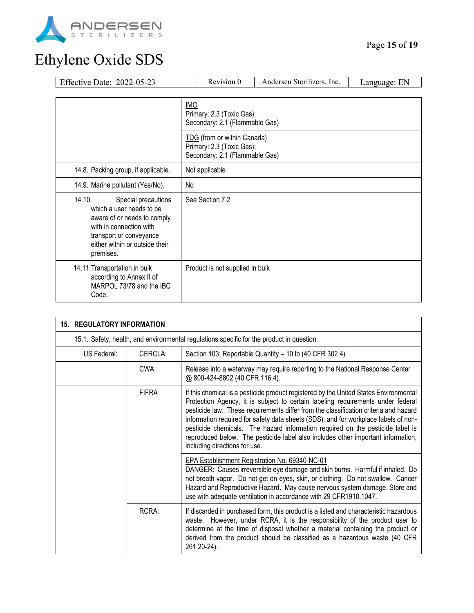

#### Page **15** of **19**

| Effective Date: 2022-05-23                                                                                                                                                                    |                                                                                            | Revision 0                      | Andersen Sterilizers, Inc. | Language: EN |
|-----------------------------------------------------------------------------------------------------------------------------------------------------------------------------------------------|--------------------------------------------------------------------------------------------|---------------------------------|----------------------------|--------------|
|                                                                                                                                                                                               |                                                                                            |                                 |                            |              |
|                                                                                                                                                                                               | <b>IMO</b><br>Primary: 2.3 (Toxic Gas);<br>Secondary: 2.1 (Flammable Gas)                  |                                 |                            |              |
|                                                                                                                                                                                               | TDG (from or within Canada)<br>Primary: 2.3 (Toxic Gas);<br>Secondary: 2.1 (Flammable Gas) |                                 |                            |              |
| 14.8. Packing group, if applicable.                                                                                                                                                           | Not applicable                                                                             |                                 |                            |              |
| 14.9. Marine pollutant (Yes/No).                                                                                                                                                              | No                                                                                         |                                 |                            |              |
| 14.10.<br>Special precautions<br>which a user needs to be<br>aware of or needs to comply<br>with in connection with<br>transport or conveyance<br>either within or outside their<br>premises. | See Section 7.2                                                                            |                                 |                            |              |
| 14.11. Transportation in bulk<br>according to Annex II of<br>MARPOL 73/78 and the IBC<br>Code.                                                                                                |                                                                                            | Product is not supplied in bulk |                            |              |

| <b>15. REGULATORY INFORMATION</b> |              |                                                                                                                                                                                                                                                                                                                                                                                                                                                                                                                                                                |  |
|-----------------------------------|--------------|----------------------------------------------------------------------------------------------------------------------------------------------------------------------------------------------------------------------------------------------------------------------------------------------------------------------------------------------------------------------------------------------------------------------------------------------------------------------------------------------------------------------------------------------------------------|--|
|                                   |              | 15.1. Safety, health, and environmental regulations specific for the product in question.                                                                                                                                                                                                                                                                                                                                                                                                                                                                      |  |
| US Federal:                       | CERCLA:      | Section 103: Reportable Quantity - 10 lb (40 CFR 302.4)                                                                                                                                                                                                                                                                                                                                                                                                                                                                                                        |  |
|                                   | CWA:         | Release into a waterway may require reporting to the National Response Center<br>@ 800-424-8802 (40 CFR 116.4).                                                                                                                                                                                                                                                                                                                                                                                                                                                |  |
|                                   | <b>FIFRA</b> | If this chemical is a pesticide product registered by the United States Environmental<br>Protection Agency, it is subject to certain labeling requirements under federal<br>pesticide law. These requirements differ from the classification criteria and hazard<br>information required for safety data sheets (SDS), and for workplace labels of non-<br>pesticide chemicals. The hazard information required on the pesticide label is<br>reproduced below. The pesticide label also includes other important information,<br>including directions for use. |  |
|                                   |              | EPA Establishment Registration No. 69340-NC-01<br>DANGER: Causes irreversible eye damage and skin burns. Harmful if inhaled. Do<br>not breath vapor. Do not get on eyes, skin, or clothing. Do not swallow. Cancer<br>Hazard and Reproductive Hazard. May cause nervous system damage. Store and<br>use with adequate ventilation in accordance with 29 CFR1910.1047.                                                                                                                                                                                          |  |
|                                   | RCRA:        | If discarded in purchased form, this product is a listed and characteristic hazardous<br>waste. However, under RCRA, it is the responsibility of the product user to<br>determine at the time of disposal whether a material containing the product or<br>derived from the product should be classified as a hazardous waste (40 CFR<br>261.20-24).                                                                                                                                                                                                            |  |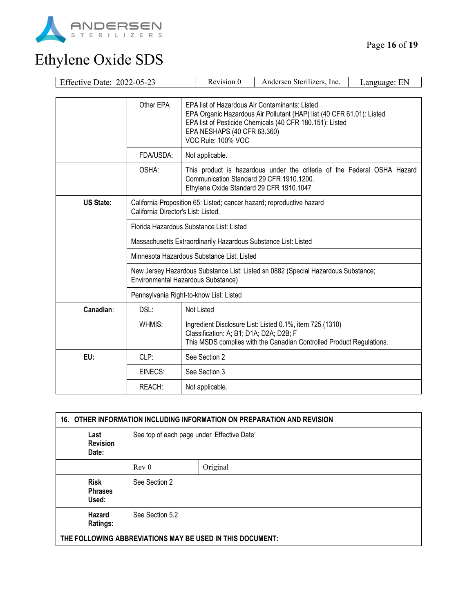

| Effective Date: 2022-05-23 |                                                                                                                         | Revision 0                                                                                                                                                                                                                               | Andersen Sterilizers, Inc.                                                                                                       | Language: EN |  |  |
|----------------------------|-------------------------------------------------------------------------------------------------------------------------|------------------------------------------------------------------------------------------------------------------------------------------------------------------------------------------------------------------------------------------|----------------------------------------------------------------------------------------------------------------------------------|--------------|--|--|
|                            |                                                                                                                         |                                                                                                                                                                                                                                          |                                                                                                                                  |              |  |  |
|                            | Other EPA                                                                                                               | EPA list of Hazardous Air Contaminants: Listed<br>EPA Organic Hazardous Air Pollutant (HAP) list (40 CFR 61.01): Listed<br>EPA list of Pesticide Chemicals (40 CFR 180.151): Listed<br>EPA NESHAPS (40 CFR 63.360)<br>VOC Rule: 100% VOC |                                                                                                                                  |              |  |  |
|                            | FDA/USDA:                                                                                                               | Not applicable.                                                                                                                                                                                                                          |                                                                                                                                  |              |  |  |
|                            | OSHA:                                                                                                                   | This product is hazardous under the criteria of the Federal OSHA Hazard<br>Communication Standard 29 CFR 1910.1200.<br>Ethylene Oxide Standard 29 CFR 1910.1047                                                                          |                                                                                                                                  |              |  |  |
| <b>US State:</b>           | California Proposition 65: Listed; cancer hazard; reproductive hazard<br>California Director's List: Listed.            |                                                                                                                                                                                                                                          |                                                                                                                                  |              |  |  |
|                            | Florida Hazardous Substance List: Listed                                                                                |                                                                                                                                                                                                                                          |                                                                                                                                  |              |  |  |
|                            | Massachusetts Extraordinarily Hazardous Substance List: Listed                                                          |                                                                                                                                                                                                                                          |                                                                                                                                  |              |  |  |
|                            | Minnesota Hazardous Substance List: Listed                                                                              |                                                                                                                                                                                                                                          |                                                                                                                                  |              |  |  |
|                            | New Jersey Hazardous Substance List: Listed sn 0882 (Special Hazardous Substance;<br>Environmental Hazardous Substance) |                                                                                                                                                                                                                                          |                                                                                                                                  |              |  |  |
|                            | Pennsylvania Right-to-know List: Listed                                                                                 |                                                                                                                                                                                                                                          |                                                                                                                                  |              |  |  |
| Canadian:                  | DSL:<br>Not Listed                                                                                                      |                                                                                                                                                                                                                                          |                                                                                                                                  |              |  |  |
|                            | WHMIS:                                                                                                                  | Classification: A; B1; D1A; D2A; D2B; F                                                                                                                                                                                                  | Ingredient Disclosure List: Listed 0.1%, item 725 (1310)<br>This MSDS complies with the Canadian Controlled Product Regulations. |              |  |  |
| EU:                        | CLP:                                                                                                                    | See Section 2                                                                                                                                                                                                                            |                                                                                                                                  |              |  |  |
|                            | EINECS:                                                                                                                 | See Section 3                                                                                                                                                                                                                            |                                                                                                                                  |              |  |  |
|                            | REACH:                                                                                                                  | Not applicable.                                                                                                                                                                                                                          |                                                                                                                                  |              |  |  |

| 16. OTHER INFORMATION INCLUDING INFORMATION ON PREPARATION AND REVISION |                                             |          |  |
|-------------------------------------------------------------------------|---------------------------------------------|----------|--|
| Last<br><b>Revision</b><br>Date:                                        | See top of each page under 'Effective Date' |          |  |
|                                                                         | Rev <sub>0</sub>                            | Original |  |
| <b>Risk</b><br><b>Phrases</b><br>Used:                                  | See Section 2                               |          |  |
| Hazard<br>Ratings:                                                      | See Section 5.2                             |          |  |
| THE FOLLOWING ABBREVIATIONS MAY BE USED IN THIS DOCUMENT:               |                                             |          |  |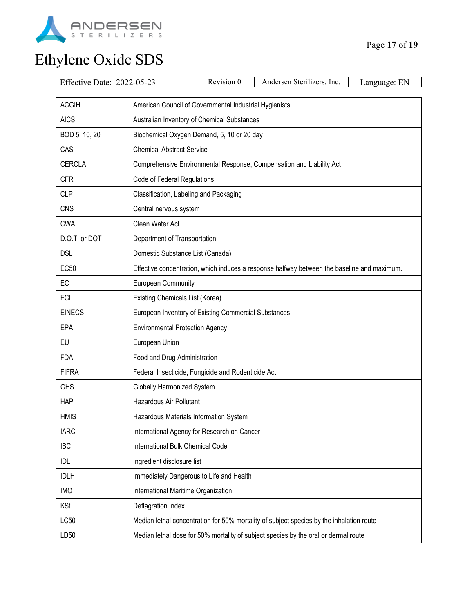

| Effective Date: 2022-05-23                                             |                                                                                             | Revision 0                                  | Andersen Sterilizers, Inc.                                           | Language: EN |  |
|------------------------------------------------------------------------|---------------------------------------------------------------------------------------------|---------------------------------------------|----------------------------------------------------------------------|--------------|--|
| <b>ACGIH</b><br>American Council of Governmental Industrial Hygienists |                                                                                             |                                             |                                                                      |              |  |
| <b>AICS</b>                                                            |                                                                                             | Australian Inventory of Chemical Substances |                                                                      |              |  |
| BOD 5, 10, 20                                                          | Biochemical Oxygen Demand, 5, 10 or 20 day                                                  |                                             |                                                                      |              |  |
| CAS                                                                    | <b>Chemical Abstract Service</b>                                                            |                                             |                                                                      |              |  |
| <b>CERCLA</b>                                                          |                                                                                             |                                             | Comprehensive Environmental Response, Compensation and Liability Act |              |  |
| <b>CFR</b>                                                             | Code of Federal Regulations                                                                 |                                             |                                                                      |              |  |
| <b>CLP</b>                                                             | Classification, Labeling and Packaging                                                      |                                             |                                                                      |              |  |
| <b>CNS</b>                                                             | Central nervous system                                                                      |                                             |                                                                      |              |  |
| <b>CWA</b>                                                             | Clean Water Act                                                                             |                                             |                                                                      |              |  |
| D.O.T. or DOT                                                          | Department of Transportation                                                                |                                             |                                                                      |              |  |
| <b>DSL</b>                                                             | Domestic Substance List (Canada)                                                            |                                             |                                                                      |              |  |
| <b>EC50</b>                                                            | Effective concentration, which induces a response halfway between the baseline and maximum. |                                             |                                                                      |              |  |
| EC                                                                     | <b>European Community</b>                                                                   |                                             |                                                                      |              |  |
| <b>ECL</b>                                                             | Existing Chemicals List (Korea)                                                             |                                             |                                                                      |              |  |
| <b>EINECS</b>                                                          | European Inventory of Existing Commercial Substances                                        |                                             |                                                                      |              |  |
| EPA                                                                    | <b>Environmental Protection Agency</b>                                                      |                                             |                                                                      |              |  |
| EU                                                                     | European Union                                                                              |                                             |                                                                      |              |  |
| <b>FDA</b>                                                             | Food and Drug Administration                                                                |                                             |                                                                      |              |  |
| <b>FIFRA</b>                                                           | Federal Insecticide, Fungicide and Rodenticide Act                                          |                                             |                                                                      |              |  |
| <b>GHS</b>                                                             | Globally Harmonized System                                                                  |                                             |                                                                      |              |  |
| <b>HAP</b>                                                             | Hazardous Air Pollutant                                                                     |                                             |                                                                      |              |  |
| <b>HMIS</b>                                                            | Hazardous Materials Information System                                                      |                                             |                                                                      |              |  |
| <b>IARC</b>                                                            | International Agency for Research on Cancer                                                 |                                             |                                                                      |              |  |
| <b>IBC</b>                                                             | International Bulk Chemical Code                                                            |                                             |                                                                      |              |  |
| IDL                                                                    | Ingredient disclosure list                                                                  |                                             |                                                                      |              |  |
| <b>IDLH</b>                                                            | Immediately Dangerous to Life and Health                                                    |                                             |                                                                      |              |  |
| <b>IMO</b>                                                             | International Maritime Organization                                                         |                                             |                                                                      |              |  |
| <b>KSt</b>                                                             | Deflagration Index                                                                          |                                             |                                                                      |              |  |
| LC50                                                                   | Median lethal concentration for 50% mortality of subject species by the inhalation route    |                                             |                                                                      |              |  |
| LD50                                                                   | Median lethal dose for 50% mortality of subject species by the oral or dermal route         |                                             |                                                                      |              |  |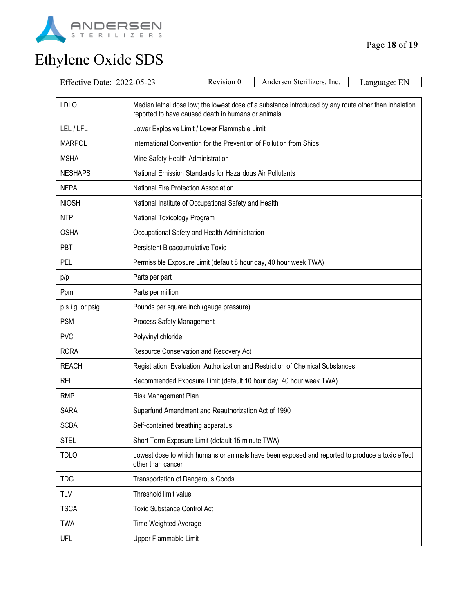

| Effective Date: 2022-05-23 |                                                                                                                                                             | Revision 0                                                        | Andersen Sterilizers, Inc.                                          | Language: EN |  |  |
|----------------------------|-------------------------------------------------------------------------------------------------------------------------------------------------------------|-------------------------------------------------------------------|---------------------------------------------------------------------|--------------|--|--|
| <b>LDLO</b>                | Median lethal dose low; the lowest dose of a substance introduced by any route other than inhalation<br>reported to have caused death in humans or animals. |                                                                   |                                                                     |              |  |  |
| LEL/LFL                    | Lower Explosive Limit / Lower Flammable Limit                                                                                                               |                                                                   |                                                                     |              |  |  |
| <b>MARPOL</b>              |                                                                                                                                                             |                                                                   | International Convention for the Prevention of Pollution from Ships |              |  |  |
| <b>MSHA</b>                | Mine Safety Health Administration                                                                                                                           |                                                                   |                                                                     |              |  |  |
| <b>NESHAPS</b>             | National Emission Standards for Hazardous Air Pollutants                                                                                                    |                                                                   |                                                                     |              |  |  |
| <b>NFPA</b>                | National Fire Protection Association                                                                                                                        |                                                                   |                                                                     |              |  |  |
| <b>NIOSH</b>               | National Institute of Occupational Safety and Health                                                                                                        |                                                                   |                                                                     |              |  |  |
| <b>NTP</b>                 | National Toxicology Program                                                                                                                                 |                                                                   |                                                                     |              |  |  |
| <b>OSHA</b>                | Occupational Safety and Health Administration                                                                                                               |                                                                   |                                                                     |              |  |  |
| PBT                        | Persistent Bioaccumulative Toxic                                                                                                                            |                                                                   |                                                                     |              |  |  |
| <b>PEL</b>                 |                                                                                                                                                             | Permissible Exposure Limit (default 8 hour day, 40 hour week TWA) |                                                                     |              |  |  |
| p/p                        | Parts per part                                                                                                                                              |                                                                   |                                                                     |              |  |  |
| Ppm                        | Parts per million                                                                                                                                           |                                                                   |                                                                     |              |  |  |
| p.s.i.g. or psig           | Pounds per square inch (gauge pressure)                                                                                                                     |                                                                   |                                                                     |              |  |  |
| <b>PSM</b>                 | Process Safety Management                                                                                                                                   |                                                                   |                                                                     |              |  |  |
| <b>PVC</b>                 | Polyvinyl chloride                                                                                                                                          |                                                                   |                                                                     |              |  |  |
| <b>RCRA</b>                | Resource Conservation and Recovery Act                                                                                                                      |                                                                   |                                                                     |              |  |  |
| <b>REACH</b>               | Registration, Evaluation, Authorization and Restriction of Chemical Substances                                                                              |                                                                   |                                                                     |              |  |  |
| REL                        | Recommended Exposure Limit (default 10 hour day, 40 hour week TWA)                                                                                          |                                                                   |                                                                     |              |  |  |
| <b>RMP</b>                 | Risk Management Plan                                                                                                                                        |                                                                   |                                                                     |              |  |  |
| <b>SARA</b>                | Superfund Amendment and Reauthorization Act of 1990                                                                                                         |                                                                   |                                                                     |              |  |  |
| <b>SCBA</b>                | Self-contained breathing apparatus                                                                                                                          |                                                                   |                                                                     |              |  |  |
| <b>STEL</b>                | Short Term Exposure Limit (default 15 minute TWA)                                                                                                           |                                                                   |                                                                     |              |  |  |
| <b>TDLO</b>                | Lowest dose to which humans or animals have been exposed and reported to produce a toxic effect<br>other than cancer                                        |                                                                   |                                                                     |              |  |  |
| <b>TDG</b>                 |                                                                                                                                                             | <b>Transportation of Dangerous Goods</b>                          |                                                                     |              |  |  |
| <b>TLV</b>                 | Threshold limit value                                                                                                                                       |                                                                   |                                                                     |              |  |  |
| <b>TSCA</b>                | <b>Toxic Substance Control Act</b>                                                                                                                          |                                                                   |                                                                     |              |  |  |
| <b>TWA</b>                 | Time Weighted Average                                                                                                                                       |                                                                   |                                                                     |              |  |  |
| UFL                        | Upper Flammable Limit                                                                                                                                       |                                                                   |                                                                     |              |  |  |